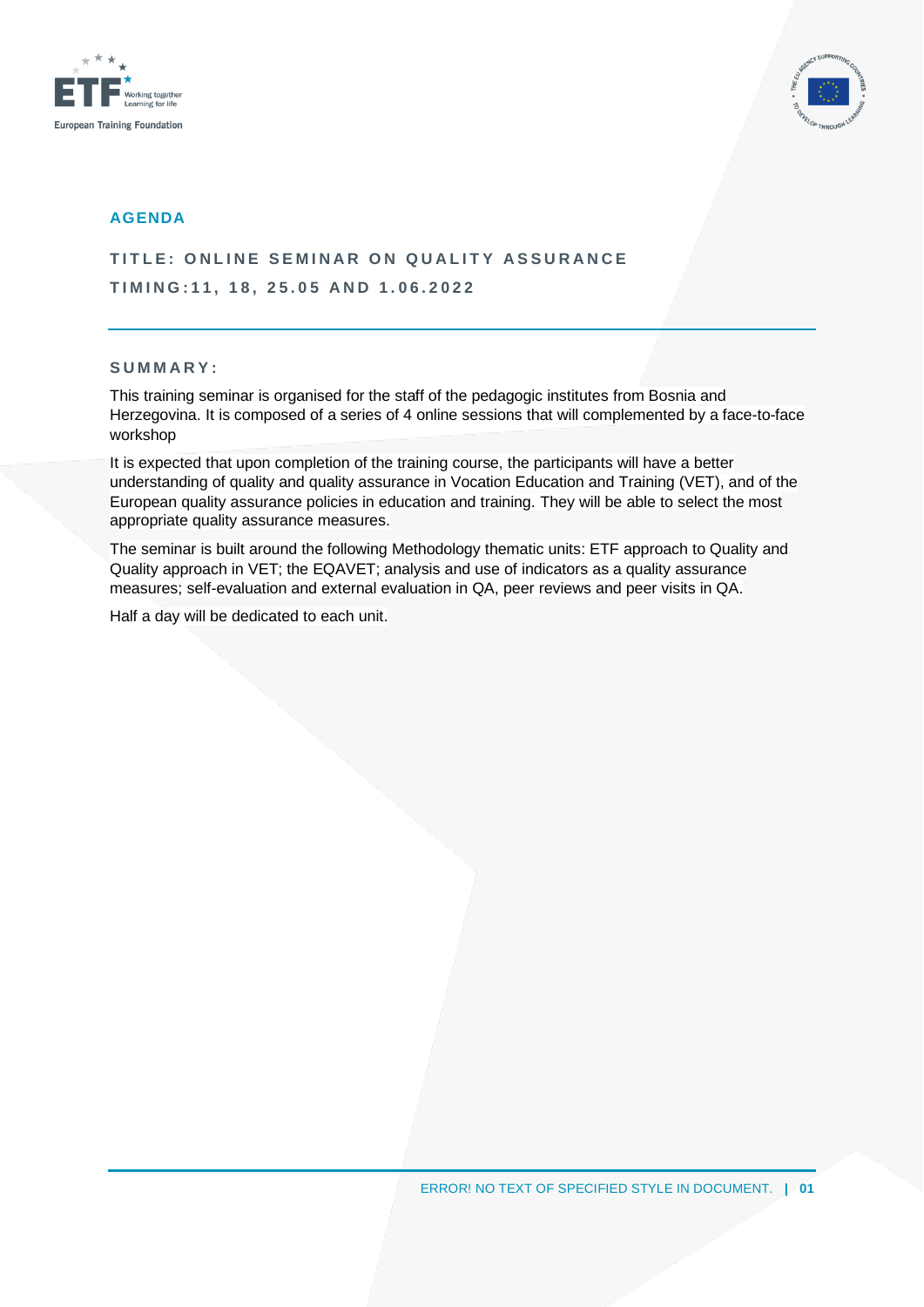



#### **AGENDA**

**TITLE: ONLINE SEMINAR ON QUALITY ASSURANCE T I M I N G : 1 1 , 1 8 , 2 5 . 0 5 A N D 1 . 0 6 . 2 0 2 2**

#### **S U M M A R Y :**

This training seminar is organised for the staff of the pedagogic institutes from Bosnia and Herzegovina. It is composed of a series of 4 online sessions that will complemented by a face-to-face workshop

It is expected that upon completion of the training course, the participants will have a better understanding of quality and quality assurance in Vocation Education and Training (VET), and of the European quality assurance policies in education and training. They will be able to select the most appropriate quality assurance measures.

The seminar is built around the following Methodology thematic units: ETF approach to Quality and Quality approach in VET; the EQAVET; analysis and use of indicators as a quality assurance measures; self-evaluation and external evaluation in QA, peer reviews and peer visits in QA.

Half a day will be dedicated to each unit.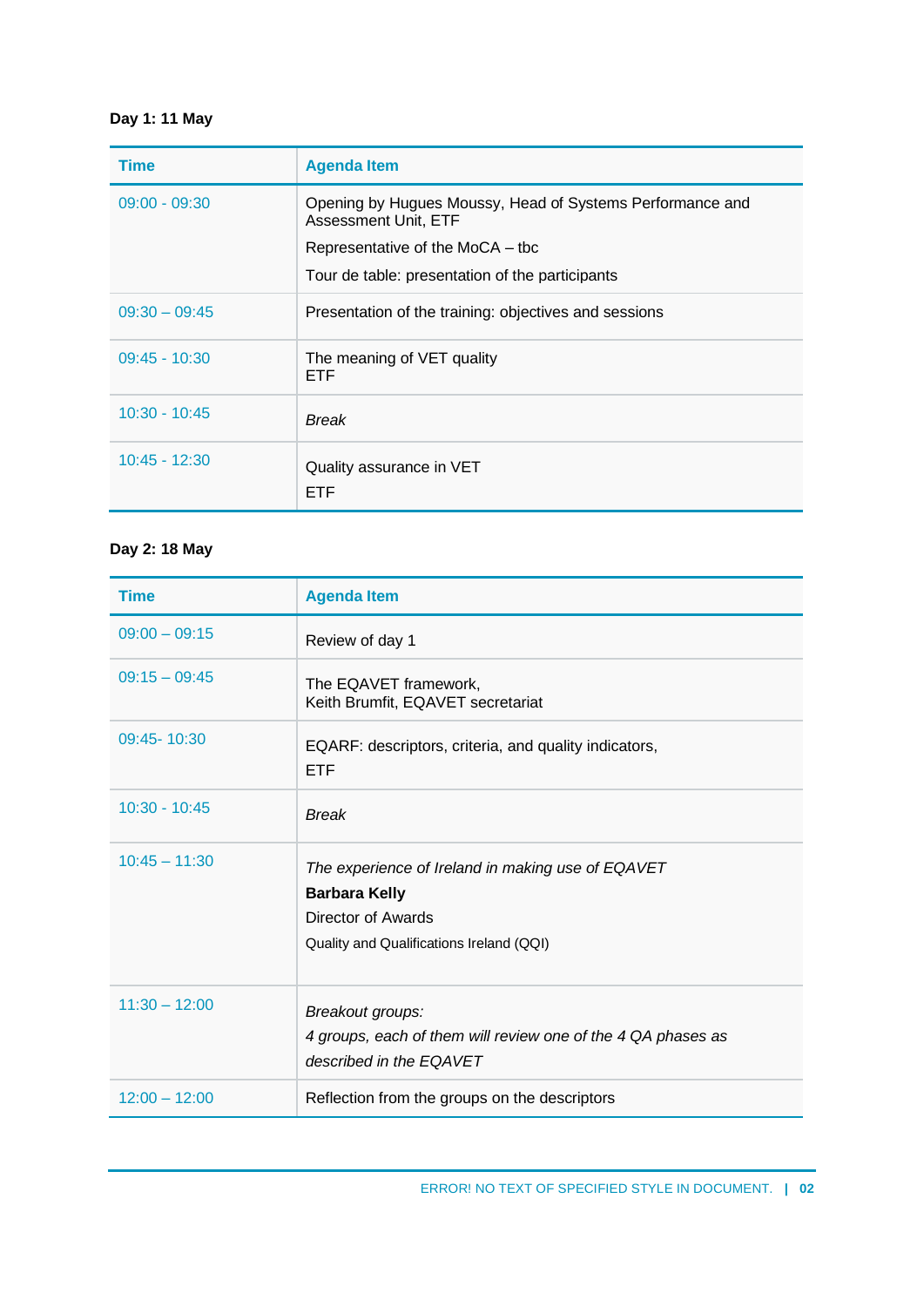# **Day 1: 11 May**

| <b>Time</b>     | <b>Agenda Item</b>                                                                |
|-----------------|-----------------------------------------------------------------------------------|
| $09:00 - 09:30$ | Opening by Hugues Moussy, Head of Systems Performance and<br>Assessment Unit, ETF |
|                 | Representative of the MoCA - tbc                                                  |
|                 | Tour de table: presentation of the participants                                   |
| $09:30 - 09:45$ | Presentation of the training: objectives and sessions                             |
| $09:45 - 10:30$ | The meaning of VET quality<br><b>ETF</b>                                          |
| $10:30 - 10:45$ | Break                                                                             |
| $10:45 - 12:30$ | Quality assurance in VET<br><b>ETF</b>                                            |

### **Day 2: 18 May**

| <b>Time</b>     | <b>Agenda Item</b>                                                                                                                          |
|-----------------|---------------------------------------------------------------------------------------------------------------------------------------------|
| $09:00 - 09:15$ | Review of day 1                                                                                                                             |
| $09:15 - 09:45$ | The EQAVET framework,<br>Keith Brumfit, EQAVET secretariat                                                                                  |
| 09:45-10:30     | EQARF: descriptors, criteria, and quality indicators,<br><b>ETF</b>                                                                         |
| $10:30 - 10:45$ | <b>Break</b>                                                                                                                                |
| $10:45 - 11:30$ | The experience of Ireland in making use of EQAVET<br><b>Barbara Kelly</b><br>Director of Awards<br>Quality and Qualifications Ireland (QQI) |
| $11:30 - 12:00$ | Breakout groups:<br>4 groups, each of them will review one of the 4 QA phases as<br>described in the EQAVET                                 |
| $12:00 - 12:00$ | Reflection from the groups on the descriptors                                                                                               |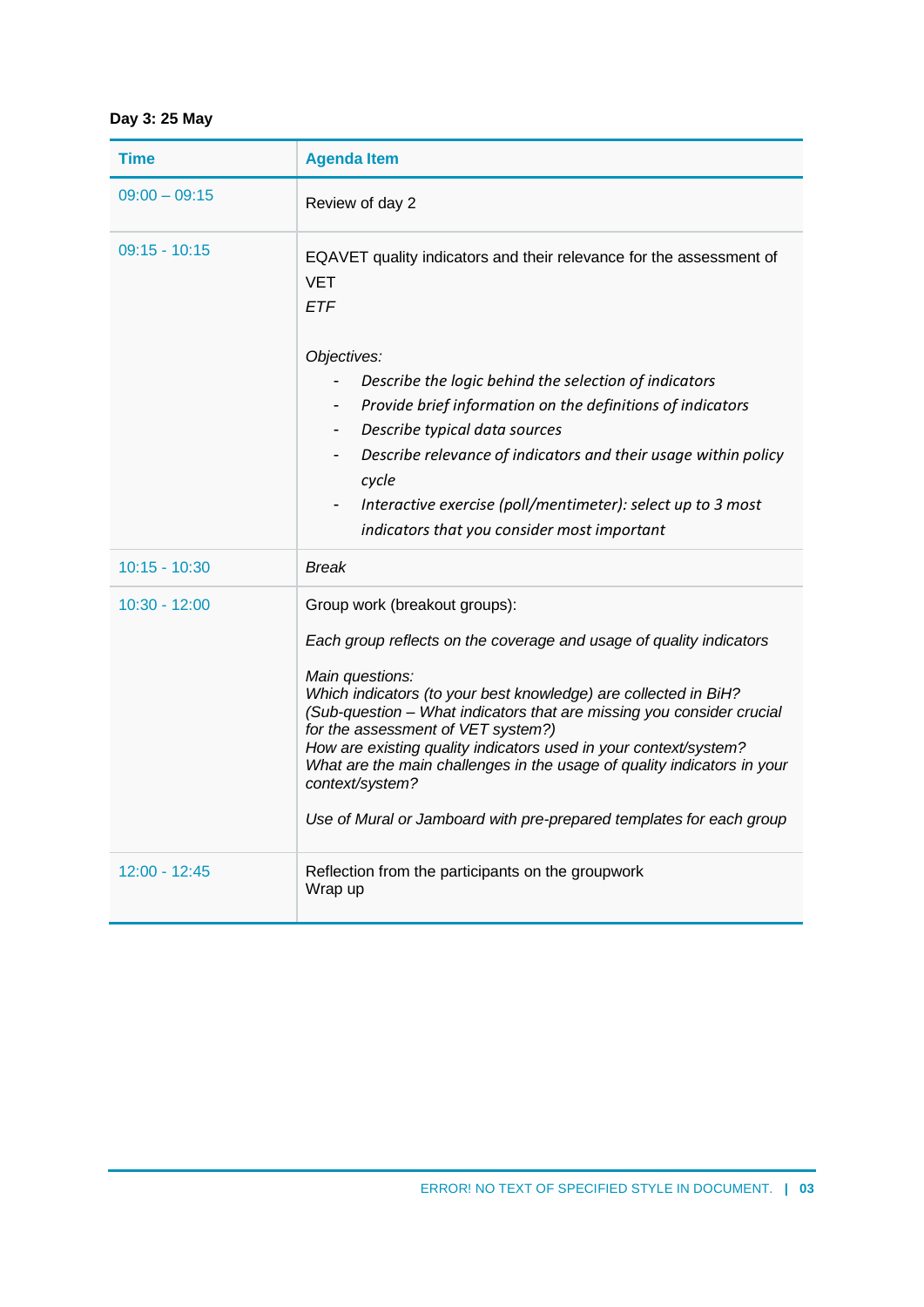## **Day 3: 25 May**

| Time            | <b>Agenda Item</b>                                                                                                                                                                                                                                                                                                                                                                                                                                                                                                                                 |
|-----------------|----------------------------------------------------------------------------------------------------------------------------------------------------------------------------------------------------------------------------------------------------------------------------------------------------------------------------------------------------------------------------------------------------------------------------------------------------------------------------------------------------------------------------------------------------|
| $09:00 - 09:15$ | Review of day 2                                                                                                                                                                                                                                                                                                                                                                                                                                                                                                                                    |
| $09:15 - 10:15$ | EQAVET quality indicators and their relevance for the assessment of<br><b>VET</b><br><b>ETF</b><br>Objectives:<br>Describe the logic behind the selection of indicators<br>Provide brief information on the definitions of indicators<br>Describe typical data sources<br>Describe relevance of indicators and their usage within policy<br>cycle<br>Interactive exercise (poll/mentimeter): select up to 3 most<br>indicators that you consider most important                                                                                    |
| $10:15 - 10:30$ | <b>Break</b>                                                                                                                                                                                                                                                                                                                                                                                                                                                                                                                                       |
| $10:30 - 12:00$ | Group work (breakout groups):<br>Each group reflects on the coverage and usage of quality indicators<br>Main questions:<br>Which indicators (to your best knowledge) are collected in BiH?<br>(Sub-question - What indicators that are missing you consider crucial<br>for the assessment of VET system?)<br>How are existing quality indicators used in your context/system?<br>What are the main challenges in the usage of quality indicators in your<br>context/system?<br>Use of Mural or Jamboard with pre-prepared templates for each group |
| $12:00 - 12:45$ | Reflection from the participants on the groupwork<br>Wrap up                                                                                                                                                                                                                                                                                                                                                                                                                                                                                       |